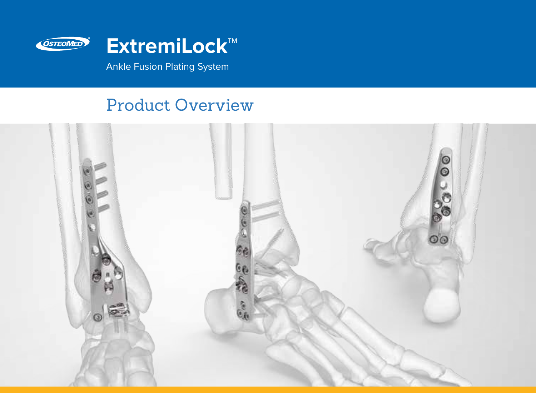

Ankle Fusion Plating System

# Product Overview

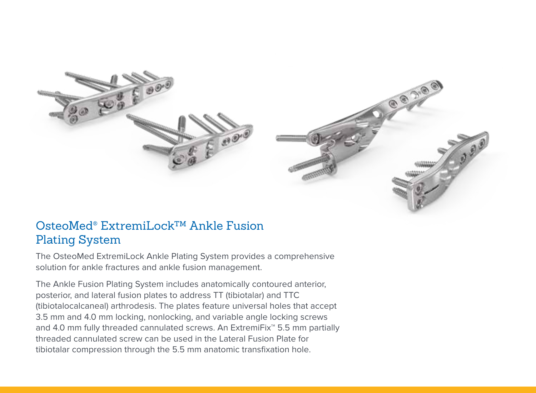

## OsteoMed® ExtremiLock™ Ankle Fusion Plating System

The OsteoMed ExtremiLock Ankle Plating System provides a comprehensive solution for ankle fractures and ankle fusion management.

The Ankle Fusion Plating System includes anatomically contoured anterior, posterior, and lateral fusion plates to address TT (tibiotalar) and TTC (tibiotalocalcaneal) arthrodesis. The plates feature universal holes that accept 3.5 mm and 4.0 mm locking, nonlocking, and variable angle locking screws and 4.0 mm fully threaded cannulated screws. An ExtremiFix™ 5.5 mm partially threaded cannulated screw can be used in the Lateral Fusion Plate for tibiotalar compression through the 5.5 mm anatomic transfixation hole.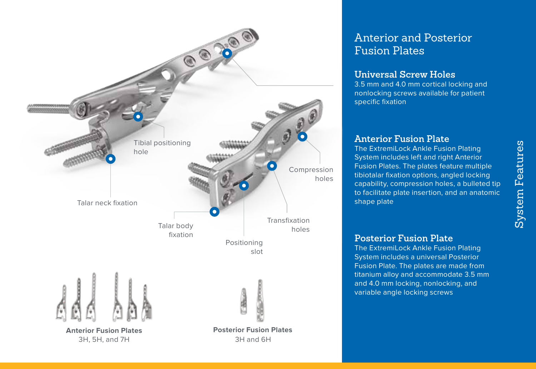

## Anterior and Posterior Fusion Plates

#### **Universal Screw Holes**

3.5 mm and 4.0 mm cortical locking and nonlocking screws available for patient specific fixation

#### **Anterior Fusion Plate**

The ExtremiLock Ankle Fusion Plating System includes left and right Anterior Fusion Plates. The plates feature multiple tibiotalar fixation options, angled locking capability, compression holes, a bulleted tip to facilitate plate insertion, and an anatomic shape plate

#### **Posterior Fusion Plate**

The ExtremiLock Ankle Fusion Plating System includes a universal Posterior Fusion Plate. The plates are made from titanium alloy and accommodate 3.5 mm and 4.0 mm locking, nonlocking, and variable angle locking screws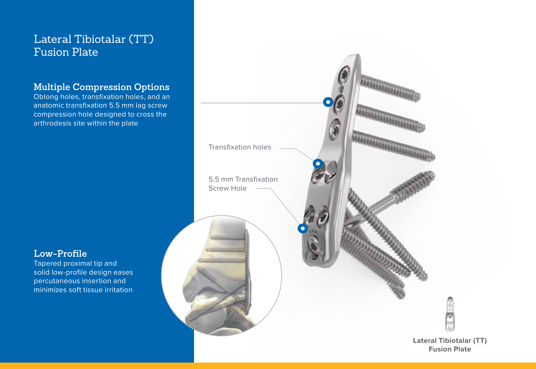## Lateral Tibiotalar (TT) Fusion Plate

#### **Multiple Compression Options**

Oblong holes, transfixation holes, and an anatomic transfixation 5.5 mm lag screw compression hole designed to cross the arthrodesis site within the plate

#### **Low-Profile**

Tapered proximal tip and solid low-profile design eases percutaneous insertion and minimizes soft tissue irritation

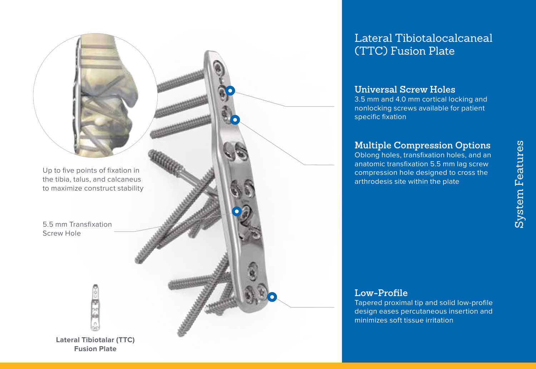

## Lateral Tibiotalocalcaneal (TTC) Fusion Plate

#### **Universal Screw Holes**

3.5 mm and 4.0 mm cortical locking and nonlocking screws available for patient specific fixation

#### **Multiple Compression Options**

Oblong holes, transfixation holes, and an anatomic transfixation 5.5 mm lag screw compression hole designed to cross the arthrodesis site within the plate

### **Low-Profile**

Tapered proximal tip and solid low-profile design eases percutaneous insertion and minimizes soft tissue irritation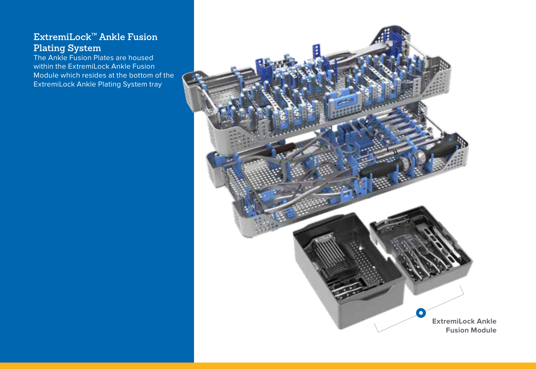#### **ExtremiLock™ Ankle Fusion Plating System**

The Ankle Fusion Plates are housed within the ExtremiLock Ankle Fusion Module which resides at the bottom of the ExtremiLock Ankle Plating System tray

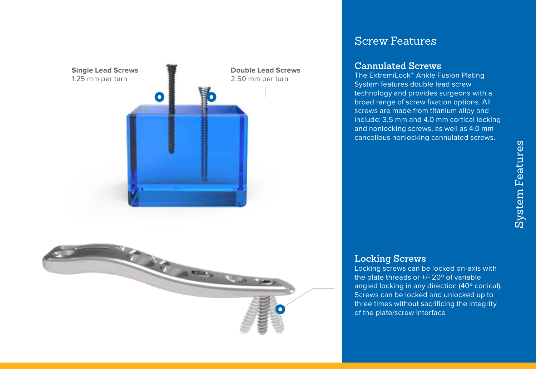

## Screw Features

#### **Cannulated Screws**

The ExtremiLock™ Ankle Fusion Plating System features double lead screw technology and provides surgeons with a broad range of screw fixation options. All screws are made from titanium alloy and include: 3.5 mm and 4.0 mm cortical locking and nonlocking screws, as well as 4.0 mm cancellous nonlocking cannulated screws.

#### **Locking Screws**

Locking screws can be locked on-axis with the plate threads or +/- 20º of variable angled locking in any direction (40º conical). Screws can be locked and unlocked up to three times without sacrificing the integrity of the plate/screw interface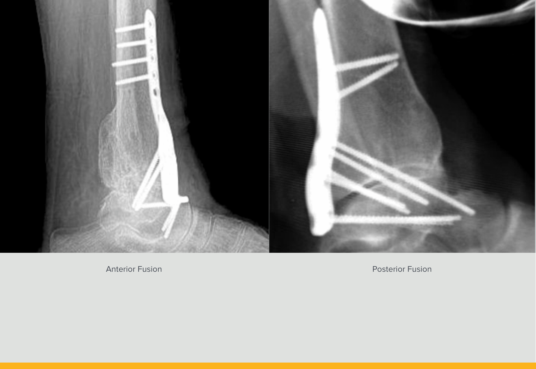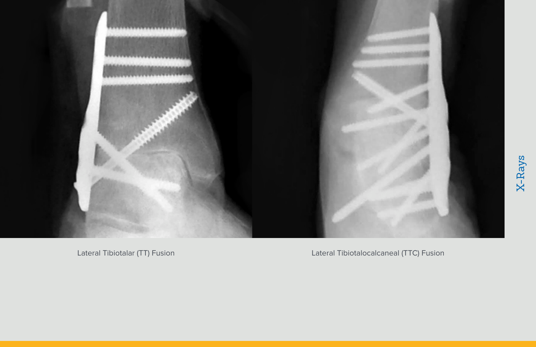

Lateral Tibiotalar (TT) Fusion Lateral Tibiotalocalcaneal (TTC) Fusion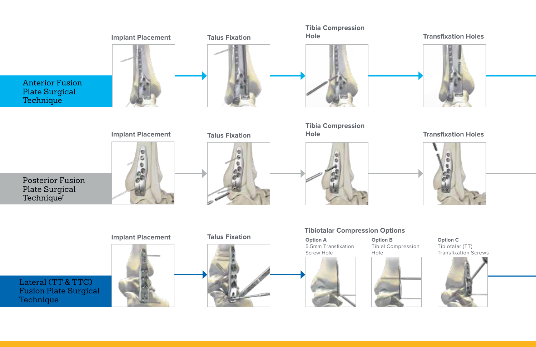

Lateral (TT & TTC) Fusion Plate Surgical Technique







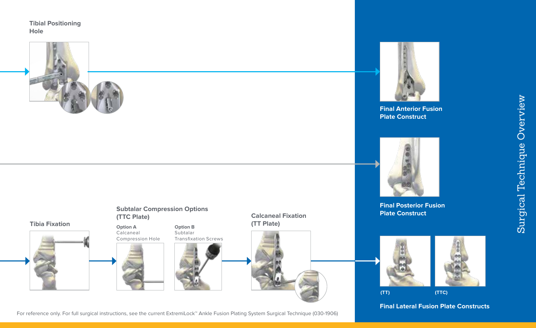**Tibial Positioning Hole** 





**Final Anterior Fusion Plate Construct**





For reference only. For full surgical instructions, see the current ExtremiLock™ Ankle Fusion Plating System Surgical Technique (030-1906)